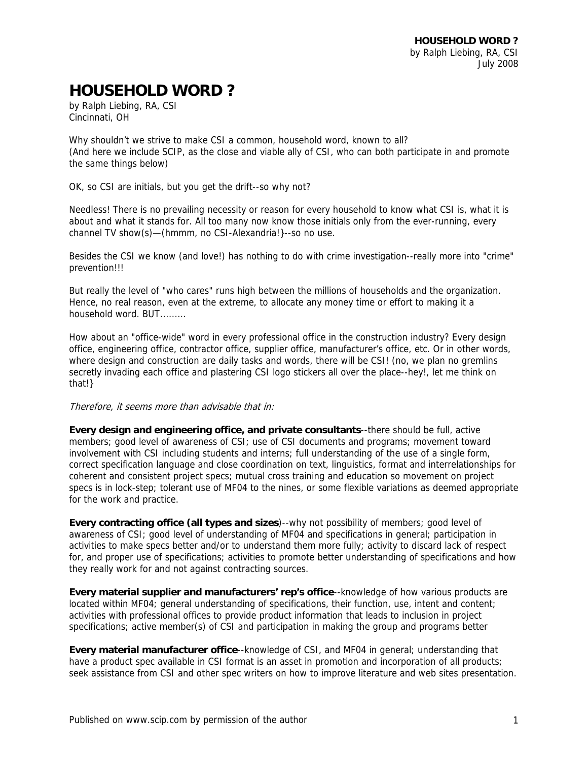## **HOUSEHOLD WORD ?**

by Ralph Liebing, RA, CSI Cincinnati, OH

Why shouldn't we strive to make CSI a common, household word, known to all? (And here we include SCIP, as the close and viable ally of CSI, who can both participate in and promote the same things below)

OK, so CSI are initials, but you get the drift--so why not?

Needless! There is no prevailing necessity or reason for every household to know what CSI is, what it is about and what it stands for. All too many now know those initials only from the ever-running, every channel TV show(s)—(hmmm, no CSI-Alexandria!}--so no use.

Besides the CSI we know (and love!) has nothing to do with crime investigation--really more into "crime" prevention!!!

But really the level of "who cares" runs high between the millions of households and the organization. Hence, no real reason, even at the extreme, to allocate any money time or effort to making it a household word. BUT.........

How about an "office-wide" word in every professional office in the construction industry? Every design office, engineering office, contractor office, supplier office, manufacturer's office, etc. Or in other words, where design and construction are daily tasks and words, there will be CSI! (no, we plan no gremlins secretly invading each office and plastering CSI logo stickers all over the place--hey!, let me think on that!}

Therefore, it seems more than advisable that in:

**Every design and engineering office, and private consultants**--there should be full, active members; good level of awareness of CSI; use of CSI documents and programs; movement toward involvement with CSI including students and interns; full understanding of the use of a single form, correct specification language and close coordination on text, linguistics, format and interrelationships for coherent and consistent project specs; mutual cross training and education so movement on project specs is in lock-step; tolerant use of MF04 to the nines, or some flexible variations as deemed appropriate for the work and practice.

**Every contracting office (all types and sizes**)--why not possibility of members; good level of awareness of CSI; good level of understanding of MF04 and specifications in general; participation in activities to make specs better and/or to understand them more fully; activity to discard lack of respect for, and proper use of specifications; activities to promote better understanding of specifications and how they really work for and not against contracting sources.

**Every material supplier and manufacturers' rep's office**--knowledge of how various products are located within MF04; general understanding of specifications, their function, use, intent and content; activities with professional offices to provide product information that leads to inclusion in project specifications; active member(s) of CSI and participation in making the group and programs better

**Every material manufacturer office**--knowledge of CSI, and MF04 in general; understanding that have a product spec available in CSI format is an asset in promotion and incorporation of all products; seek assistance from CSI and other spec writers on how to improve literature and web sites presentation.